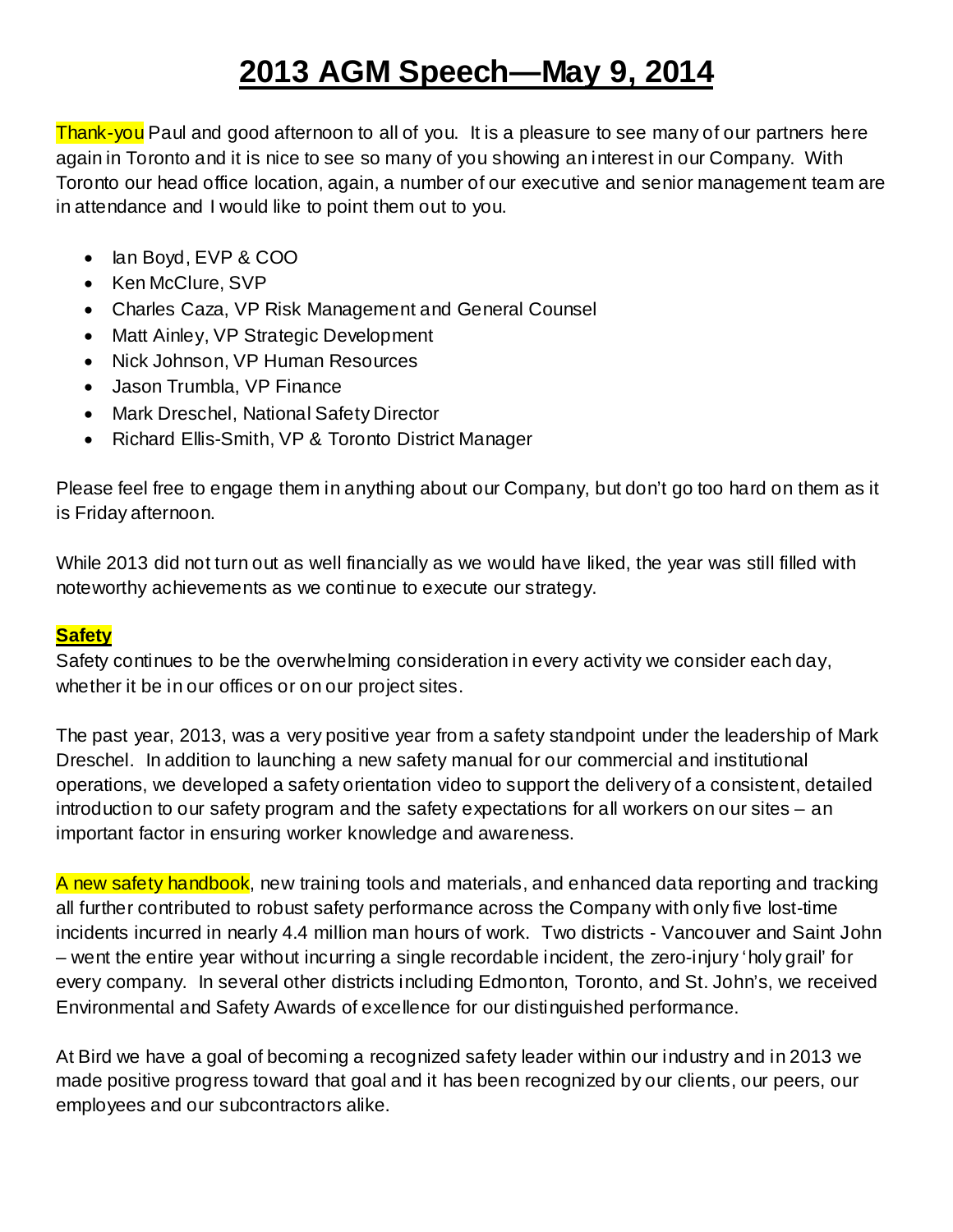# **2013 AGM Speech—May 9, 2014**

Thank-you Paul and good afternoon to all of you. It is a pleasure to see many of our partners here again in Toronto and it is nice to see so many of you showing an interest in our Company. With Toronto our head office location, again, a number of our executive and senior management team are in attendance and I would like to point them out to you.

- Ian Boyd, EVP & COO
- Ken McClure, SVP
- Charles Caza, VP Risk Management and General Counsel
- Matt Ainley, VP Strategic Development
- Nick Johnson, VP Human Resources
- Jason Trumbla, VP Finance
- Mark Dreschel, National Safety Director
- Richard Ellis-Smith, VP & Toronto District Manager

Please feel free to engage them in anything about our Company, but don't go too hard on them as it is Friday afternoon.

While 2013 did not turn out as well financially as we would have liked, the year was still filled with noteworthy achievements as we continue to execute our strategy.

## **Safety**

Safety continues to be the overwhelming consideration in every activity we consider each day, whether it be in our offices or on our project sites.

The past year, 2013, was a very positive year from a safety standpoint under the leadership of Mark Dreschel. In addition to launching a new safety manual for our commercial and institutional operations, we developed a safety orientation video to support the delivery of a consistent, detailed introduction to our safety program and the safety expectations for all workers on our sites – an important factor in ensuring worker knowledge and awareness.

A new safety handbook, new training tools and materials, and enhanced data reporting and tracking all further contributed to robust safety performance across the Company with only five lost-time incidents incurred in nearly 4.4 million man hours of work. Two districts - Vancouver and Saint John – went the entire year without incurring a single recordable incident, the zero-injury 'holy grail' for every company. In several other districts including Edmonton, Toronto, and St. John's, we received Environmental and Safety Awards of excellence for our distinguished performance.

At Bird we have a goal of becoming a recognized safety leader within our industry and in 2013 we made positive progress toward that goal and it has been recognized by our clients, our peers, our employees and our subcontractors alike.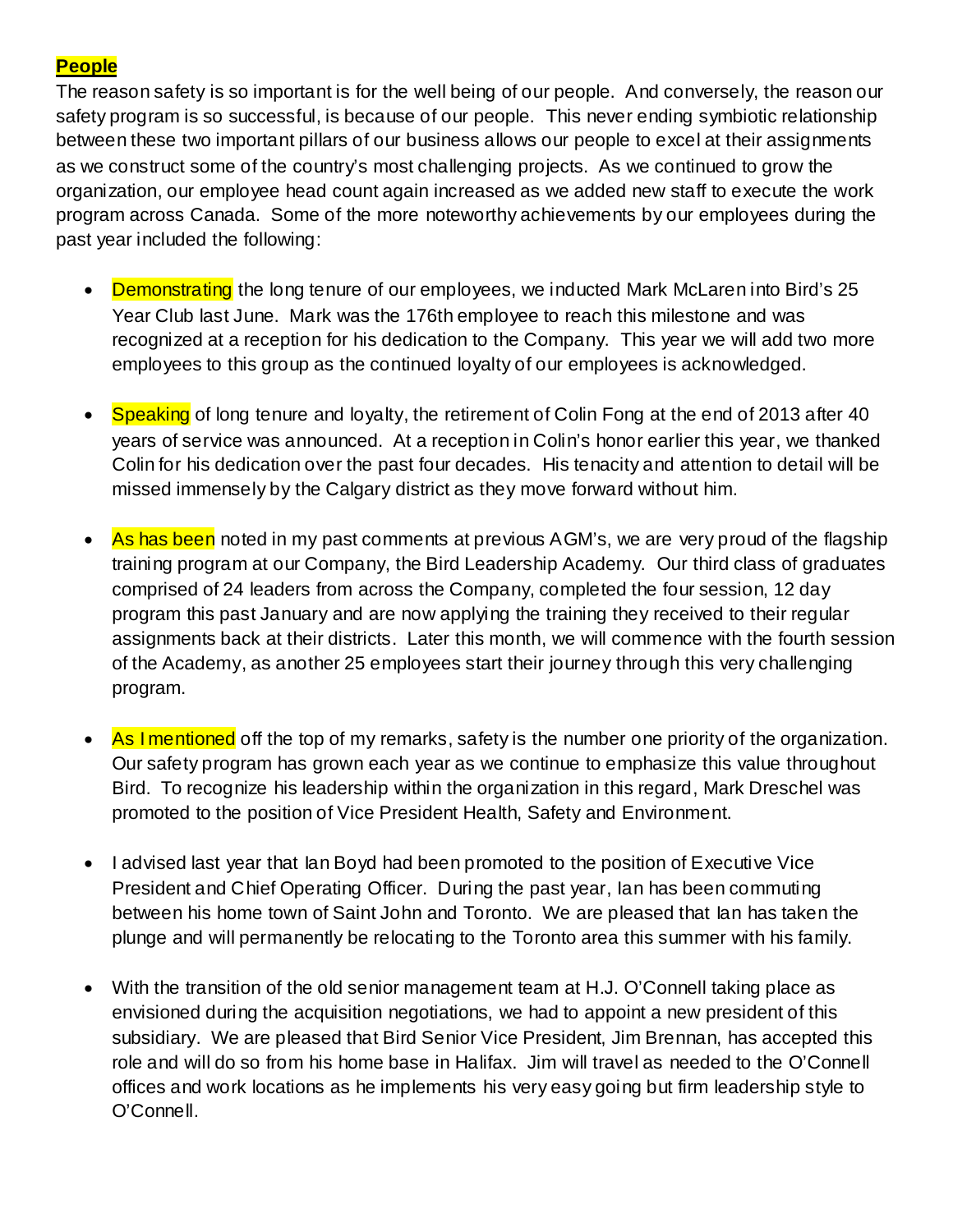### **People**

The reason safety is so important is for the well being of our people. And conversely, the reason our safety program is so successful, is because of our people. This never ending symbiotic relationship between these two important pillars of our business allows our people to excel at their assignments as we construct some of the country's most challenging projects. As we continued to grow the organization, our employee head count again increased as we added new staff to execute the work program across Canada. Some of the more noteworthy achievements by our employees during the past year included the following:

- Demonstrating the long tenure of our employees, we inducted Mark McLaren into Bird's 25 Year Club last June. Mark was the 176th employee to reach this milestone and was recognized at a reception for his dedication to the Company. This year we will add two more employees to this group as the continued loyalty of our employees is acknowledged.
- Speaking of long tenure and loyalty, the retirement of Colin Fong at the end of 2013 after 40 years of service was announced. At a reception in Colin's honor earlier this year, we thanked Colin for his dedication over the past four decades. His tenacity and attention to detail will be missed immensely by the Calgary district as they move forward without him.
- As has been noted in my past comments at previous AGM's, we are very proud of the flagship training program at our Company, the Bird Leadership Academy. Our third class of graduates comprised of 24 leaders from across the Company, completed the four session, 12 day program this past January and are now applying the training they received to their regular assignments back at their districts. Later this month, we will commence with the fourth session of the Academy, as another 25 employees start their journey through this very challenging program.
- As I mentioned off the top of my remarks, safety is the number one priority of the organization. Our safety program has grown each year as we continue to emphasize this value throughout Bird. To recognize his leadership within the organization in this regard, Mark Dreschel was promoted to the position of Vice President Health, Safety and Environment.
- I advised last year that Ian Boyd had been promoted to the position of Executive Vice President and Chief Operating Officer. During the past year, Ian has been commuting between his home town of Saint John and Toronto. We are pleased that Ian has taken the plunge and will permanently be relocating to the Toronto area this summer with his family.
- With the transition of the old senior management team at H.J. O'Connell taking place as envisioned during the acquisition negotiations, we had to appoint a new president of this subsidiary. We are pleased that Bird Senior Vice President, Jim Brennan, has accepted this role and will do so from his home base in Halifax. Jim will travel as needed to the O'Connell offices and work locations as he implements his very easy going but firm leadership style to O'Connell.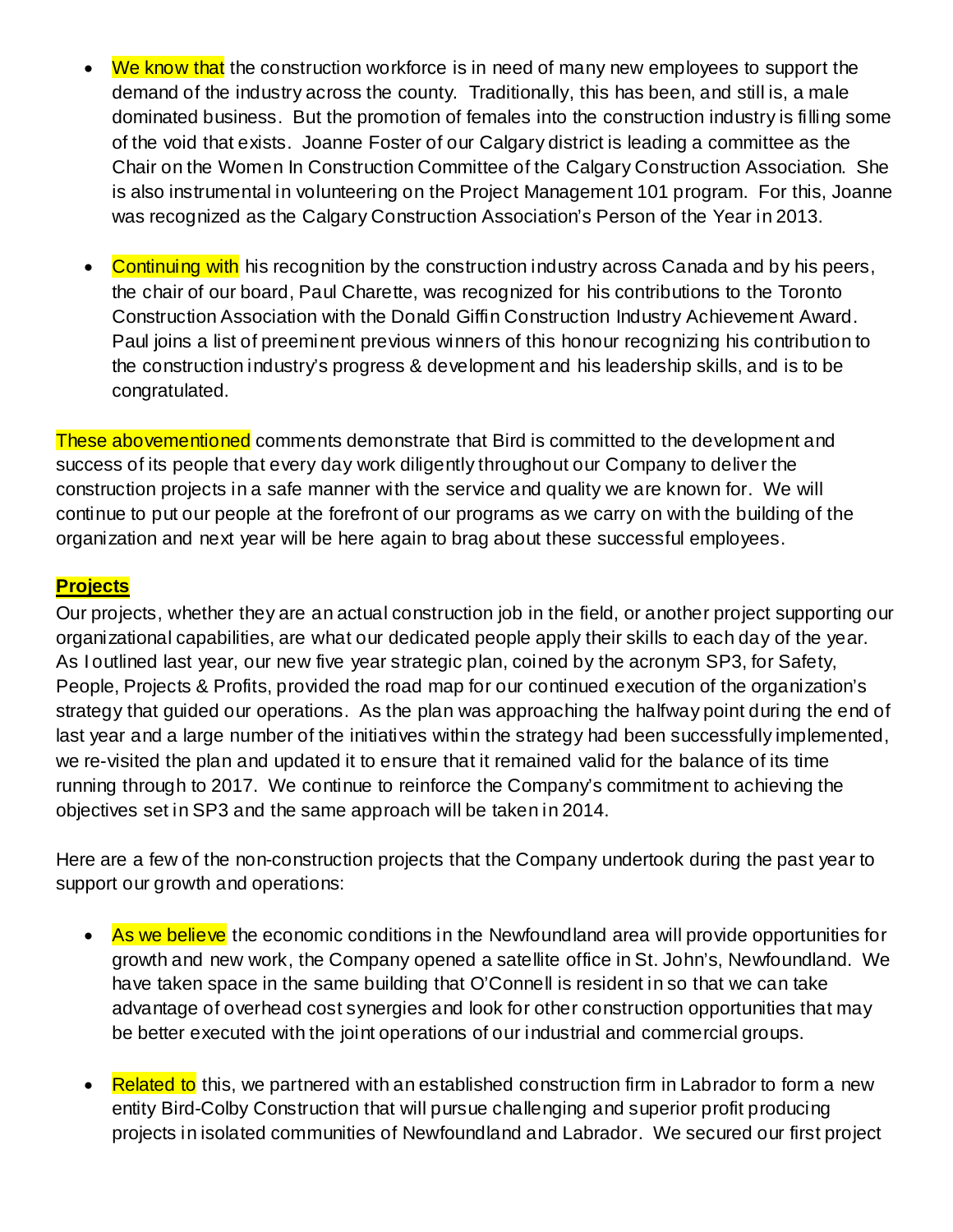- We know that the construction workforce is in need of many new employees to support the demand of the industry across the county. Traditionally, this has been, and still is, a male dominated business. But the promotion of females into the construction industry is filling some of the void that exists. Joanne Foster of our Calgary district is leading a committee as the Chair on the Women In Construction Committee of the Calgary Construction Association. She is also instrumental in volunteering on the Project Management 101 program. For this, Joanne was recognized as the Calgary Construction Association's Person of the Year in 2013.
- Continuing with his recognition by the construction industry across Canada and by his peers, the chair of our board, Paul Charette, was recognized for his contributions to the Toronto Construction Association with the Donald Giffin Construction Industry Achievement Award. Paul joins a list of preeminent previous winners of this honour recognizing his contribution to the construction industry's progress & development and his leadership skills, and is to be congratulated.

These abovementioned comments demonstrate that Bird is committed to the development and success of its people that every day work diligently throughout our Company to deliver the construction projects in a safe manner with the service and quality we are known for. We will continue to put our people at the forefront of our programs as we carry on with the building of the organization and next year will be here again to brag about these successful employees.

#### **Projects**

Our projects, whether they are an actual construction job in the field, or another project supporting our organizational capabilities, are what our dedicated people apply their skills to each day of the year. As I outlined last year, our new five year strategic plan, coined by the acronym SP3, for Safety, People, Projects & Profits, provided the road map for our continued execution of the organization's strategy that guided our operations. As the plan was approaching the halfway point during the end of last year and a large number of the initiatives within the strategy had been successfully implemented, we re-visited the plan and updated it to ensure that it remained valid for the balance of its time running through to 2017. We continue to reinforce the Company's commitment to achieving the objectives set in SP3 and the same approach will be taken in 2014.

Here are a few of the non-construction projects that the Company undertook during the past year to support our growth and operations:

- As we believe the economic conditions in the Newfoundland area will provide opportunities for growth and new work, the Company opened a satellite office in St. John's, Newfoundland. We have taken space in the same building that O'Connell is resident in so that we can take advantage of overhead cost synergies and look for other construction opportunities that may be better executed with the joint operations of our industrial and commercial groups.
- **Related to** this, we partnered with an established construction firm in Labrador to form a new entity Bird-Colby Construction that will pursue challenging and superior profit producing projects in isolated communities of Newfoundland and Labrador. We secured our first project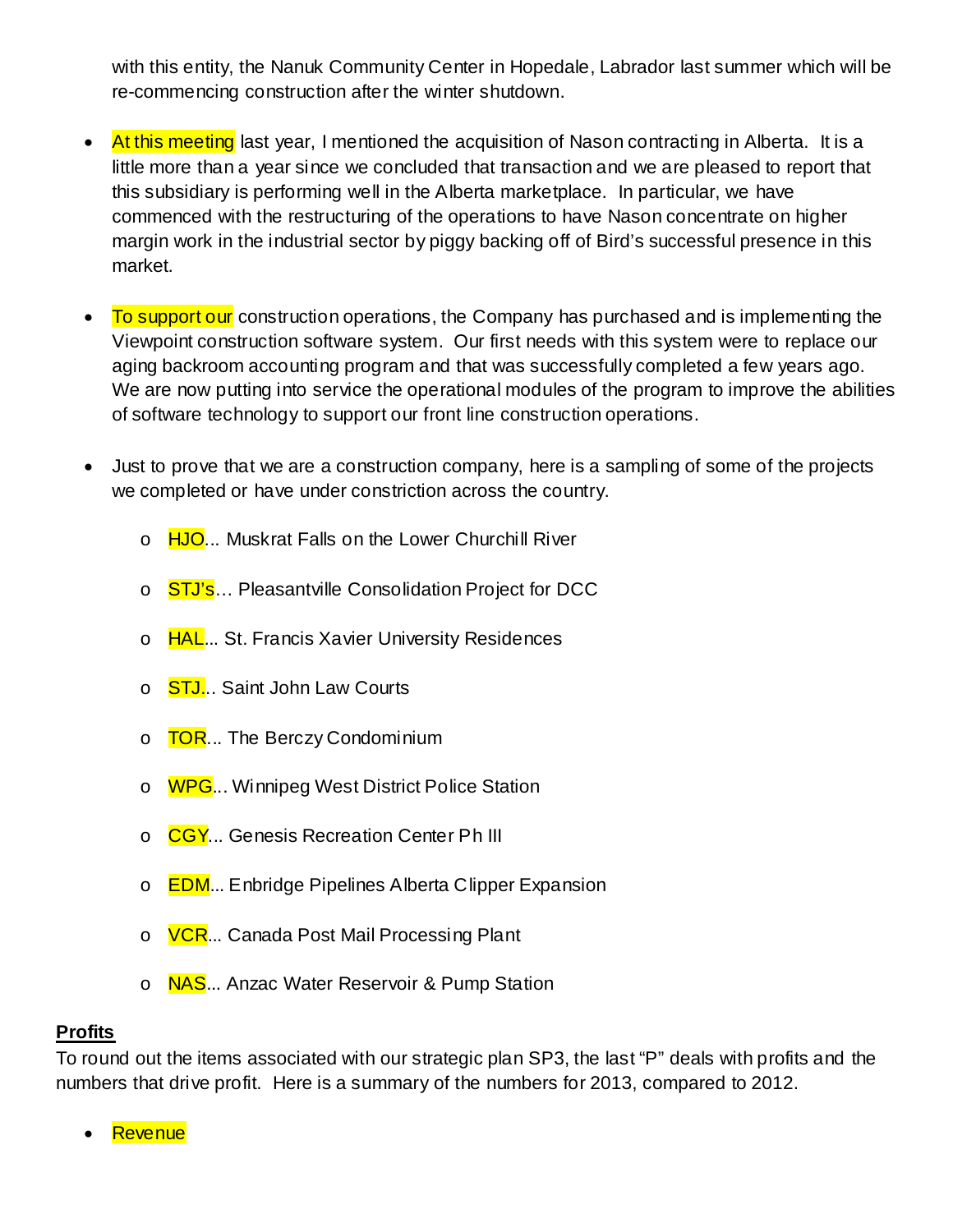with this entity, the Nanuk Community Center in Hopedale, Labrador last summer which will be re-commencing construction after the winter shutdown.

- At this meeting last year, I mentioned the acquisition of Nason contracting in Alberta. It is a little more than a year since we concluded that transaction and we are pleased to report that this subsidiary is performing well in the Alberta marketplace. In particular, we have commenced with the restructuring of the operations to have Nason concentrate on higher margin work in the industrial sector by piggy backing off of Bird's successful presence in this market.
- To support our construction operations, the Company has purchased and is implementing the Viewpoint construction software system. Our first needs with this system were to replace our aging backroom accounting program and that was successfully completed a few years ago. We are now putting into service the operational modules of the program to improve the abilities of software technology to support our front line construction operations.
- Just to prove that we are a construction company, here is a sampling of some of the projects we completed or have under constriction across the country.
	- o HJO... Muskrat Falls on the Lower Churchill River
	- o STJ's... Pleasantville Consolidation Project for DCC
	- o HAL... St. Francis Xavier University Residences
	- o **STJ... Saint John Law Courts**
	- o **TOR...** The Berczy Condominium
	- o WPG... Winnipeg West District Police Station
	- o CGY... Genesis Recreation Center Ph III
	- o **EDM**... Enbridge Pipelines Alberta Clipper Expansion
	- o **VCR**... Canada Post Mail Processing Plant
	- o **NAS**... Anzac Water Reservoir & Pump Station

#### **Profits**

To round out the items associated with our strategic plan SP3, the last "P" deals with profits and the numbers that drive profit. Here is a summary of the numbers for 2013, compared to 2012.

**Revenue**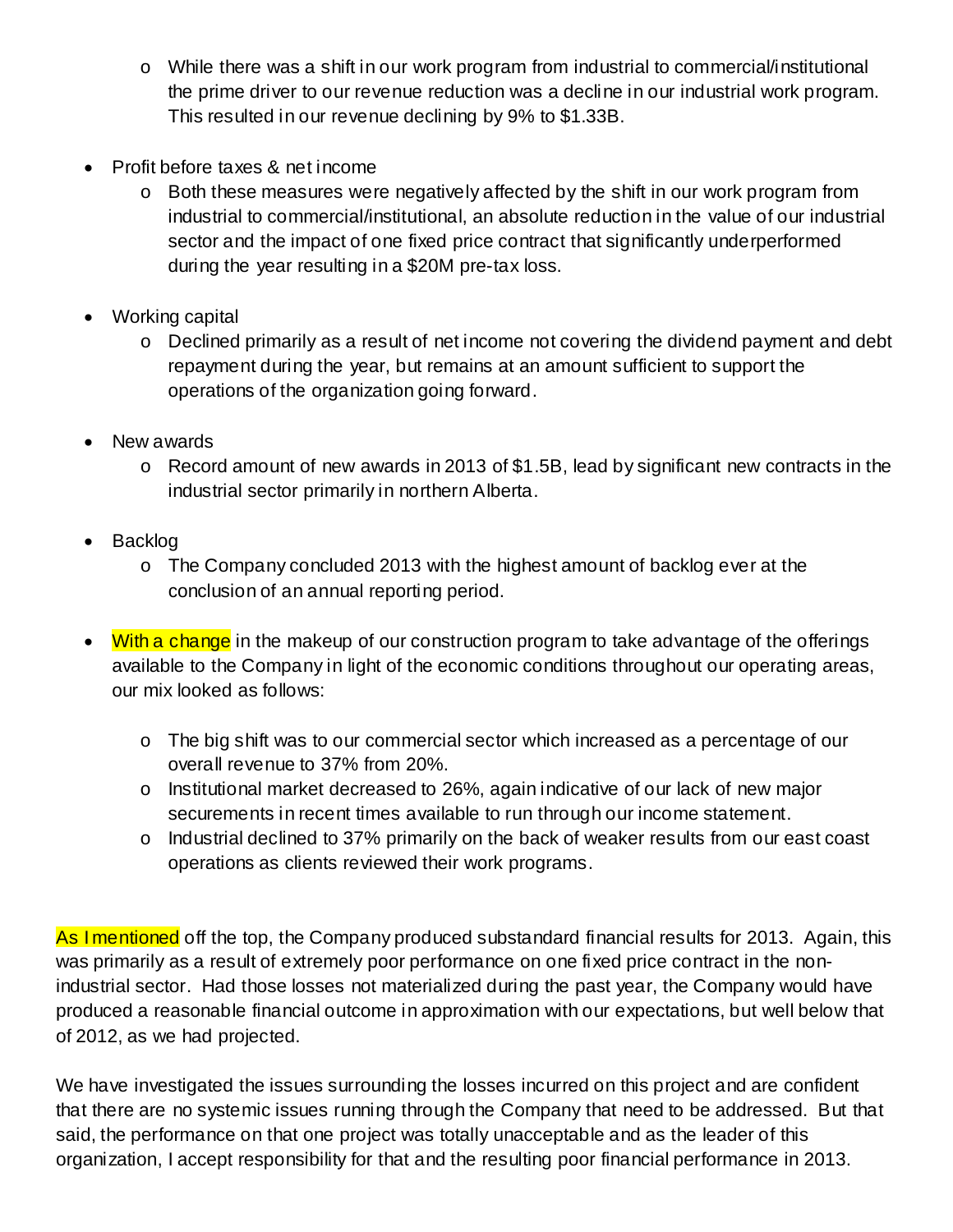- o While there was a shift in our work program from industrial to commercial/institutional the prime driver to our revenue reduction was a decline in our industrial work program. This resulted in our revenue declining by 9% to \$1.33B.
- Profit before taxes & net income
	- o Both these measures were negatively affected by the shift in our work program from industrial to commercial/institutional, an absolute reduction in the value of our industrial sector and the impact of one fixed price contract that significantly underperformed during the year resulting in a \$20M pre-tax loss.
- Working capital
	- o Declined primarily as a result of net income not covering the dividend payment and debt repayment during the year, but remains at an amount sufficient to support the operations of the organization going forward.
- New awards
	- o Record amount of new awards in 2013 of \$1.5B, lead by significant new contracts in the industrial sector primarily in northern Alberta.
- Backlog
	- o The Company concluded 2013 with the highest amount of backlog ever at the conclusion of an annual reporting period.
- With a change in the makeup of our construction program to take advantage of the offerings available to the Company in light of the economic conditions throughout our operating areas, our mix looked as follows:
	- o The big shift was to our commercial sector which increased as a percentage of our overall revenue to 37% from 20%.
	- o Institutional market decreased to 26%, again indicative of our lack of new major securements in recent times available to run through our income statement.
	- o Industrial declined to 37% primarily on the back of weaker results from our east coast operations as clients reviewed their work programs.

As I mentioned off the top, the Company produced substandard financial results for 2013. Again, this was primarily as a result of extremely poor performance on one fixed price contract in the nonindustrial sector. Had those losses not materialized during the past year, the Company would have produced a reasonable financial outcome in approximation with our expectations, but well below that of 2012, as we had projected.

We have investigated the issues surrounding the losses incurred on this project and are confident that there are no systemic issues running through the Company that need to be addressed. But that said, the performance on that one project was totally unacceptable and as the leader of this organization, I accept responsibility for that and the resulting poor financial performance in 2013.